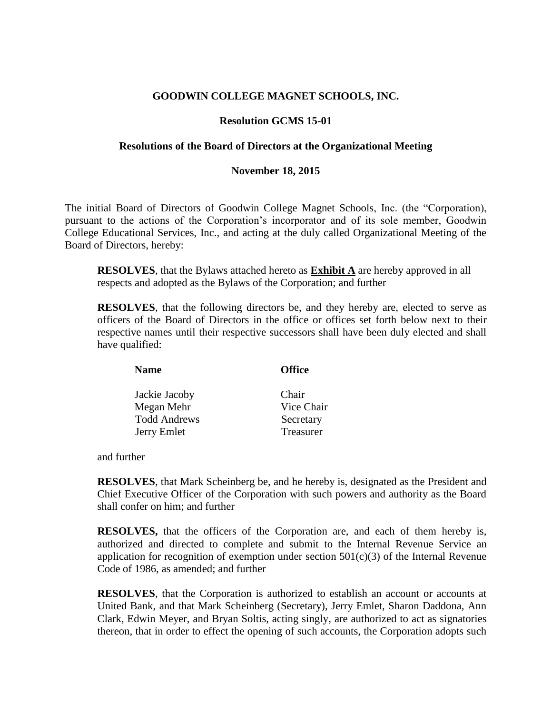# **GOODWIN COLLEGE MAGNET SCHOOLS, INC.**

## **Resolution GCMS 15-01**

## **Resolutions of the Board of Directors at the Organizational Meeting**

#### **November 18, 2015**

The initial Board of Directors of Goodwin College Magnet Schools, Inc. (the "Corporation), pursuant to the actions of the Corporation's incorporator and of its sole member, Goodwin College Educational Services, Inc., and acting at the duly called Organizational Meeting of the Board of Directors, hereby:

**RESOLVES**, that the Bylaws attached hereto as **Exhibit A** are hereby approved in all respects and adopted as the Bylaws of the Corporation; and further

**RESOLVES**, that the following directors be, and they hereby are, elected to serve as officers of the Board of Directors in the office or offices set forth below next to their respective names until their respective successors shall have been duly elected and shall have qualified:

| <b>Name</b>         | <b>Office</b>    |
|---------------------|------------------|
| Jackie Jacoby       | Chair            |
| Megan Mehr          | Vice Chair       |
| <b>Todd Andrews</b> | Secretary        |
| Jerry Emlet         | <b>Treasurer</b> |
|                     |                  |

and further

**RESOLVES**, that Mark Scheinberg be, and he hereby is, designated as the President and Chief Executive Officer of the Corporation with such powers and authority as the Board shall confer on him; and further

**RESOLVES,** that the officers of the Corporation are, and each of them hereby is, authorized and directed to complete and submit to the Internal Revenue Service an application for recognition of exemption under section  $501(c)(3)$  of the Internal Revenue Code of 1986, as amended; and further

**RESOLVES**, that the Corporation is authorized to establish an account or accounts at United Bank, and that Mark Scheinberg (Secretary), Jerry Emlet, Sharon Daddona, Ann Clark, Edwin Meyer, and Bryan Soltis, acting singly, are authorized to act as signatories thereon, that in order to effect the opening of such accounts, the Corporation adopts such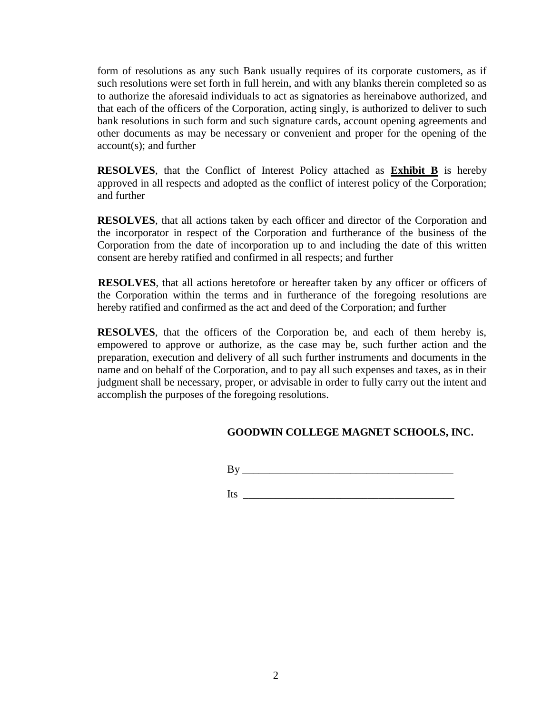form of resolutions as any such Bank usually requires of its corporate customers, as if such resolutions were set forth in full herein, and with any blanks therein completed so as to authorize the aforesaid individuals to act as signatories as hereinabove authorized, and that each of the officers of the Corporation, acting singly, is authorized to deliver to such bank resolutions in such form and such signature cards, account opening agreements and other documents as may be necessary or convenient and proper for the opening of the account(s); and further

**RESOLVES**, that the Conflict of Interest Policy attached as **Exhibit B** is hereby approved in all respects and adopted as the conflict of interest policy of the Corporation; and further

**RESOLVES**, that all actions taken by each officer and director of the Corporation and the incorporator in respect of the Corporation and furtherance of the business of the Corporation from the date of incorporation up to and including the date of this written consent are hereby ratified and confirmed in all respects; and further

**RESOLVES**, that all actions heretofore or hereafter taken by any officer or officers of the Corporation within the terms and in furtherance of the foregoing resolutions are hereby ratified and confirmed as the act and deed of the Corporation; and further

**RESOLVES**, that the officers of the Corporation be, and each of them hereby is, empowered to approve or authorize, as the case may be, such further action and the preparation, execution and delivery of all such further instruments and documents in the name and on behalf of the Corporation, and to pay all such expenses and taxes, as in their judgment shall be necessary, proper, or advisable in order to fully carry out the intent and accomplish the purposes of the foregoing resolutions.

# **GOODWIN COLLEGE MAGNET SCHOOLS, INC.**

 $\mathbf{B} \mathbf{y}$ 

Its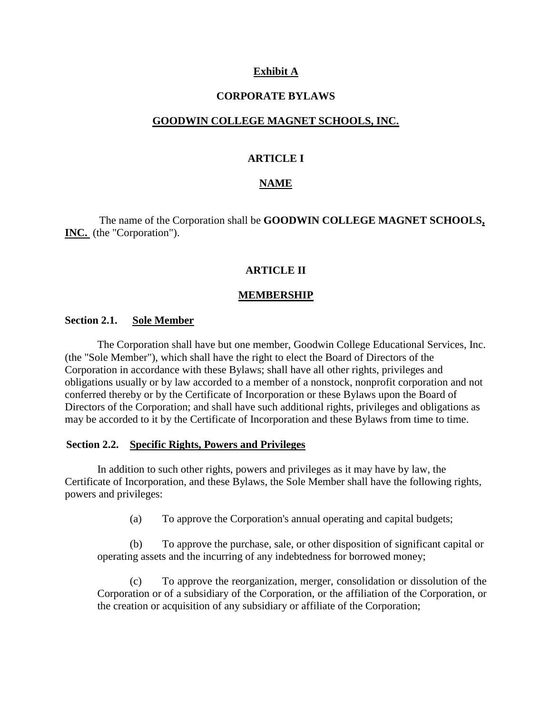## **Exhibit A**

#### **CORPORATE BYLAWS**

#### **GOODWIN COLLEGE MAGNET SCHOOLS, INC.**

## **ARTICLE I**

## **NAME**

The name of the Corporation shall be **GOODWIN COLLEGE MAGNET SCHOOLS, INC.** (the "Corporation").

# **ARTICLE II**

#### **MEMBERSHIP**

#### **Section 2.1. Sole Member**

The Corporation shall have but one member, Goodwin College Educational Services, Inc. (the "Sole Member"), which shall have the right to elect the Board of Directors of the Corporation in accordance with these Bylaws; shall have all other rights, privileges and obligations usually or by law accorded to a member of a nonstock, nonprofit corporation and not conferred thereby or by the Certificate of Incorporation or these Bylaws upon the Board of Directors of the Corporation; and shall have such additional rights, privileges and obligations as may be accorded to it by the Certificate of Incorporation and these Bylaws from time to time.

#### **Section 2.2. Specific Rights, Powers and Privileges**

In addition to such other rights, powers and privileges as it may have by law, the Certificate of Incorporation, and these Bylaws, the Sole Member shall have the following rights, powers and privileges:

(a) To approve the Corporation's annual operating and capital budgets;

(b) To approve the purchase, sale, or other disposition of significant capital or operating assets and the incurring of any indebtedness for borrowed money;

(c) To approve the reorganization, merger, consolidation or dissolution of the Corporation or of a subsidiary of the Corporation, or the affiliation of the Corporation, or the creation or acquisition of any subsidiary or affiliate of the Corporation;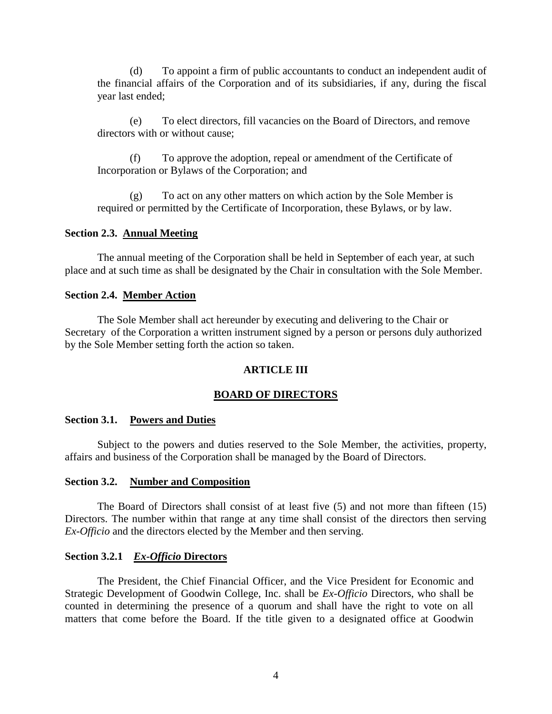(d) To appoint a firm of public accountants to conduct an independent audit of the financial affairs of the Corporation and of its subsidiaries, if any, during the fiscal year last ended;

(e) To elect directors, fill vacancies on the Board of Directors, and remove directors with or without cause;

(f) To approve the adoption, repeal or amendment of the Certificate of Incorporation or Bylaws of the Corporation; and

(g) To act on any other matters on which action by the Sole Member is required or permitted by the Certificate of Incorporation, these Bylaws, or by law.

#### **Section 2.3. Annual Meeting**

The annual meeting of the Corporation shall be held in September of each year, at such place and at such time as shall be designated by the Chair in consultation with the Sole Member.

## **Section 2.4. Member Action**

The Sole Member shall act hereunder by executing and delivering to the Chair or Secretary of the Corporation a written instrument signed by a person or persons duly authorized by the Sole Member setting forth the action so taken.

# **ARTICLE III**

# **BOARD OF DIRECTORS**

#### **Section 3.1. Powers and Duties**

Subject to the powers and duties reserved to the Sole Member, the activities, property, affairs and business of the Corporation shall be managed by the Board of Directors.

#### **Section 3.2. Number and Composition**

The Board of Directors shall consist of at least five (5) and not more than fifteen (15) Directors. The number within that range at any time shall consist of the directors then serving *Ex-Officio* and the directors elected by the Member and then serving.

# **Section 3.2.1** *Ex-Officio* **Directors**

The President, the Chief Financial Officer, and the Vice President for Economic and Strategic Development of Goodwin College, Inc. shall be *Ex-Officio* Directors, who shall be counted in determining the presence of a quorum and shall have the right to vote on all matters that come before the Board. If the title given to a designated office at Goodwin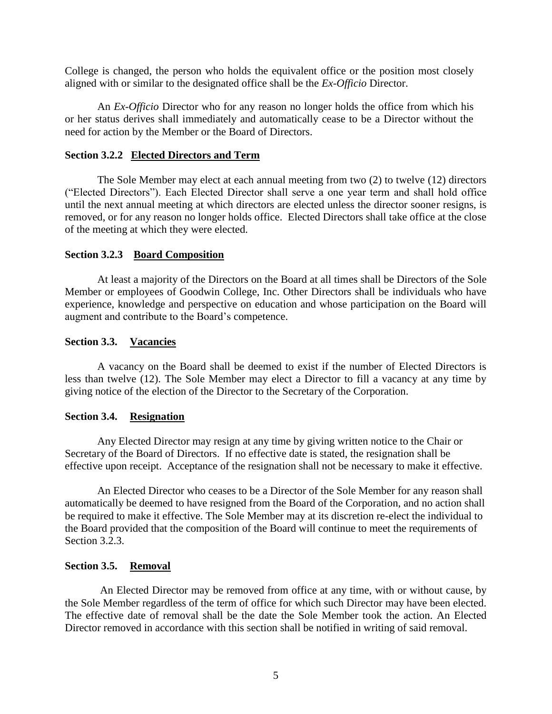College is changed, the person who holds the equivalent office or the position most closely aligned with or similar to the designated office shall be the *Ex-Officio* Director.

An *Ex-Officio* Director who for any reason no longer holds the office from which his or her status derives shall immediately and automatically cease to be a Director without the need for action by the Member or the Board of Directors.

## **Section 3.2.2 Elected Directors and Term**

The Sole Member may elect at each annual meeting from two (2) to twelve (12) directors ("Elected Directors"). Each Elected Director shall serve a one year term and shall hold office until the next annual meeting at which directors are elected unless the director sooner resigns, is removed, or for any reason no longer holds office. Elected Directors shall take office at the close of the meeting at which they were elected.

# **Section 3.2.3 Board Composition**

At least a majority of the Directors on the Board at all times shall be Directors of the Sole Member or employees of Goodwin College, Inc. Other Directors shall be individuals who have experience, knowledge and perspective on education and whose participation on the Board will augment and contribute to the Board's competence.

## **Section 3.3. Vacancies**

A vacancy on the Board shall be deemed to exist if the number of Elected Directors is less than twelve (12). The Sole Member may elect a Director to fill a vacancy at any time by giving notice of the election of the Director to the Secretary of the Corporation.

# **Section 3.4. Resignation**

Any Elected Director may resign at any time by giving written notice to the Chair or Secretary of the Board of Directors. If no effective date is stated, the resignation shall be effective upon receipt. Acceptance of the resignation shall not be necessary to make it effective.

An Elected Director who ceases to be a Director of the Sole Member for any reason shall automatically be deemed to have resigned from the Board of the Corporation, and no action shall be required to make it effective. The Sole Member may at its discretion re-elect the individual to the Board provided that the composition of the Board will continue to meet the requirements of Section 3.2.3.

## **Section 3.5. Removal**

An Elected Director may be removed from office at any time, with or without cause, by the Sole Member regardless of the term of office for which such Director may have been elected. The effective date of removal shall be the date the Sole Member took the action. An Elected Director removed in accordance with this section shall be notified in writing of said removal.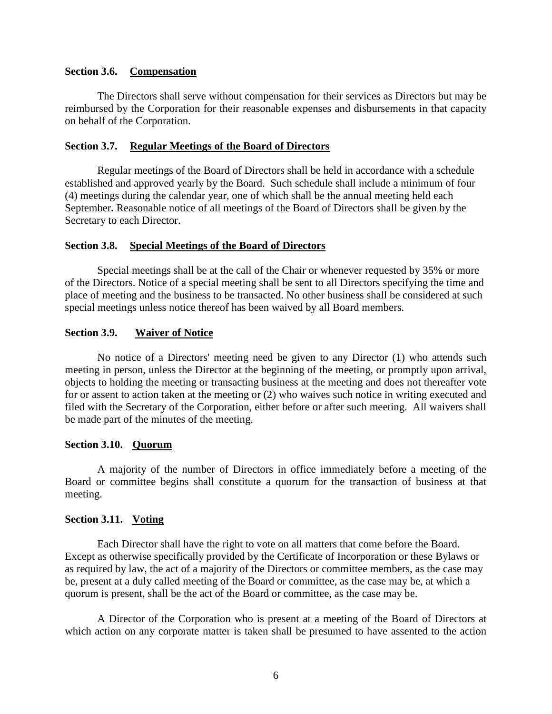## **Section 3.6. Compensation**

The Directors shall serve without compensation for their services as Directors but may be reimbursed by the Corporation for their reasonable expenses and disbursements in that capacity on behalf of the Corporation.

## **Section 3.7. Regular Meetings of the Board of Directors**

Regular meetings of the Board of Directors shall be held in accordance with a schedule established and approved yearly by the Board. Such schedule shall include a minimum of four (4) meetings during the calendar year, one of which shall be the annual meeting held each September**.** Reasonable notice of all meetings of the Board of Directors shall be given by the Secretary to each Director.

## **Section 3.8. Special Meetings of the Board of Directors**

Special meetings shall be at the call of the Chair or whenever requested by 35% or more of the Directors. Notice of a special meeting shall be sent to all Directors specifying the time and place of meeting and the business to be transacted. No other business shall be considered at such special meetings unless notice thereof has been waived by all Board members.

# **Section 3.9. Waiver of Notice**

No notice of a Directors' meeting need be given to any Director (1) who attends such meeting in person, unless the Director at the beginning of the meeting, or promptly upon arrival, objects to holding the meeting or transacting business at the meeting and does not thereafter vote for or assent to action taken at the meeting or (2) who waives such notice in writing executed and filed with the Secretary of the Corporation, either before or after such meeting. All waivers shall be made part of the minutes of the meeting.

# **Section 3.10. Quorum**

A majority of the number of Directors in office immediately before a meeting of the Board or committee begins shall constitute a quorum for the transaction of business at that meeting.

# **Section 3.11. Voting**

Each Director shall have the right to vote on all matters that come before the Board. Except as otherwise specifically provided by the Certificate of Incorporation or these Bylaws or as required by law, the act of a majority of the Directors or committee members, as the case may be, present at a duly called meeting of the Board or committee, as the case may be, at which a quorum is present, shall be the act of the Board or committee, as the case may be.

A Director of the Corporation who is present at a meeting of the Board of Directors at which action on any corporate matter is taken shall be presumed to have assented to the action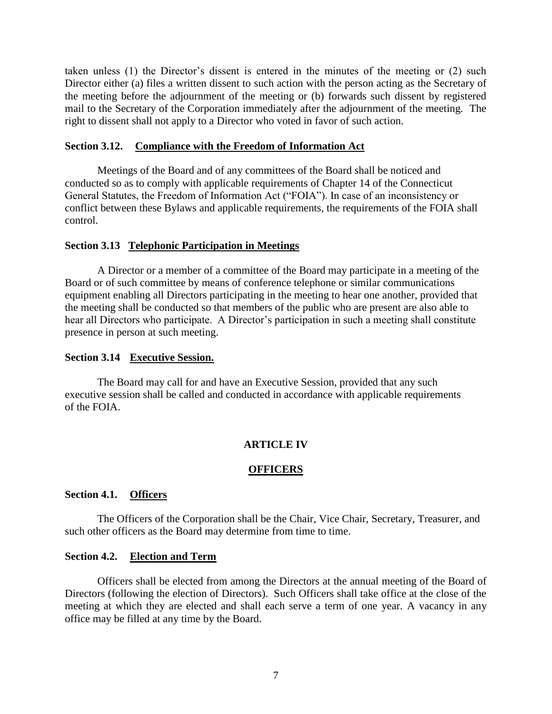taken unless (1) the Director's dissent is entered in the minutes of the meeting or (2) such Director either (a) files a written dissent to such action with the person acting as the Secretary of the meeting before the adjournment of the meeting or (b) forwards such dissent by registered mail to the Secretary of the Corporation immediately after the adjournment of the meeting. The right to dissent shall not apply to a Director who voted in favor of such action.

## **Section 3.12. Compliance with the Freedom of Information Act**

Meetings of the Board and of any committees of the Board shall be noticed and conducted so as to comply with applicable requirements of Chapter 14 of the Connecticut General Statutes, the Freedom of Information Act ("FOIA"). In case of an inconsistency or conflict between these Bylaws and applicable requirements, the requirements of the FOIA shall control.

# **Section 3.13 Telephonic Participation in Meetings**

A Director or a member of a committee of the Board may participate in a meeting of the Board or of such committee by means of conference telephone or similar communications equipment enabling all Directors participating in the meeting to hear one another, provided that the meeting shall be conducted so that members of the public who are present are also able to hear all Directors who participate. A Director's participation in such a meeting shall constitute presence in person at such meeting.

### **Section 3.14 Executive Session.**

The Board may call for and have an Executive Session, provided that any such executive session shall be called and conducted in accordance with applicable requirements of the FOIA.

# **ARTICLE IV**

# **OFFICERS**

## **Section 4.1. Officers**

The Officers of the Corporation shall be the Chair, Vice Chair, Secretary, Treasurer, and such other officers as the Board may determine from time to time.

# **Section 4.2. Election and Term**

Officers shall be elected from among the Directors at the annual meeting of the Board of Directors (following the election of Directors). Such Officers shall take office at the close of the meeting at which they are elected and shall each serve a term of one year. A vacancy in any office may be filled at any time by the Board.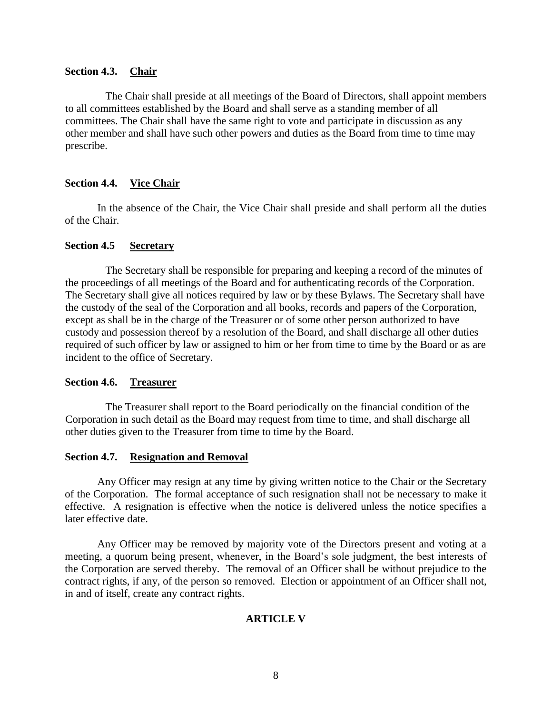#### **Section 4.3. Chair**

The Chair shall preside at all meetings of the Board of Directors, shall appoint members to all committees established by the Board and shall serve as a standing member of all committees. The Chair shall have the same right to vote and participate in discussion as any other member and shall have such other powers and duties as the Board from time to time may prescribe.

# **Section 4.4. Vice Chair**

In the absence of the Chair, the Vice Chair shall preside and shall perform all the duties of the Chair.

# **Section 4.5 Secretary**

The Secretary shall be responsible for preparing and keeping a record of the minutes of the proceedings of all meetings of the Board and for authenticating records of the Corporation. The Secretary shall give all notices required by law or by these Bylaws. The Secretary shall have the custody of the seal of the Corporation and all books, records and papers of the Corporation, except as shall be in the charge of the Treasurer or of some other person authorized to have custody and possession thereof by a resolution of the Board, and shall discharge all other duties required of such officer by law or assigned to him or her from time to time by the Board or as are incident to the office of Secretary.

# **Section 4.6. Treasurer**

The Treasurer shall report to the Board periodically on the financial condition of the Corporation in such detail as the Board may request from time to time, and shall discharge all other duties given to the Treasurer from time to time by the Board.

# **Section 4.7. Resignation and Removal**

Any Officer may resign at any time by giving written notice to the Chair or the Secretary of the Corporation. The formal acceptance of such resignation shall not be necessary to make it effective. A resignation is effective when the notice is delivered unless the notice specifies a later effective date.

Any Officer may be removed by majority vote of the Directors present and voting at a meeting, a quorum being present, whenever, in the Board's sole judgment, the best interests of the Corporation are served thereby. The removal of an Officer shall be without prejudice to the contract rights, if any, of the person so removed. Election or appointment of an Officer shall not, in and of itself, create any contract rights.

# **ARTICLE V**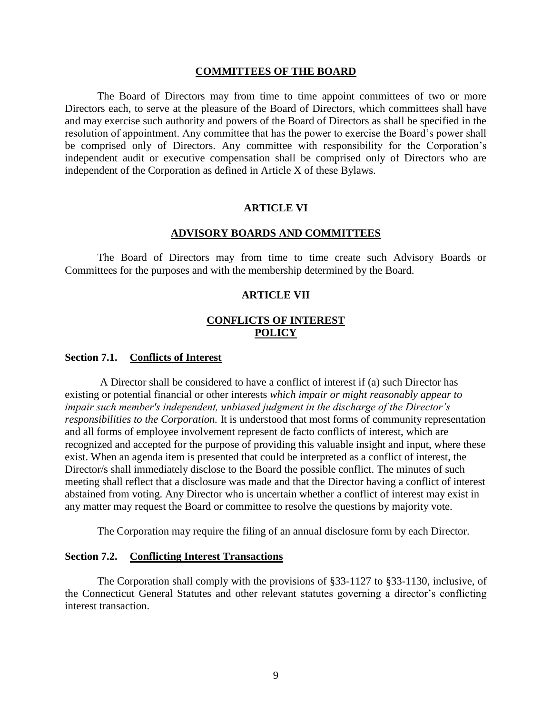#### **COMMITTEES OF THE BOARD**

The Board of Directors may from time to time appoint committees of two or more Directors each, to serve at the pleasure of the Board of Directors, which committees shall have and may exercise such authority and powers of the Board of Directors as shall be specified in the resolution of appointment. Any committee that has the power to exercise the Board's power shall be comprised only of Directors. Any committee with responsibility for the Corporation's independent audit or executive compensation shall be comprised only of Directors who are independent of the Corporation as defined in Article X of these Bylaws.

#### **ARTICLE VI**

#### **ADVISORY BOARDS AND COMMITTEES**

The Board of Directors may from time to time create such Advisory Boards or Committees for the purposes and with the membership determined by the Board.

#### **ARTICLE VII**

## **CONFLICTS OF INTEREST POLICY**

#### **Section 7.1. Conflicts of Interest**

A Director shall be considered to have a conflict of interest if (a) such Director has existing or potential financial or other interests *which impair or might reasonably appear to impair such member's independent, unbiased judgment in the discharge of the Director's responsibilities to the Corporation.* It is understood that most forms of community representation and all forms of employee involvement represent de facto conflicts of interest, which are recognized and accepted for the purpose of providing this valuable insight and input, where these exist. When an agenda item is presented that could be interpreted as a conflict of interest, the Director/s shall immediately disclose to the Board the possible conflict. The minutes of such meeting shall reflect that a disclosure was made and that the Director having a conflict of interest abstained from voting. Any Director who is uncertain whether a conflict of interest may exist in any matter may request the Board or committee to resolve the questions by majority vote.

The Corporation may require the filing of an annual disclosure form by each Director.

## **Section 7.2. Conflicting Interest Transactions**

The Corporation shall comply with the provisions of §33-1127 to §33-1130, inclusive, of the Connecticut General Statutes and other relevant statutes governing a director's conflicting interest transaction.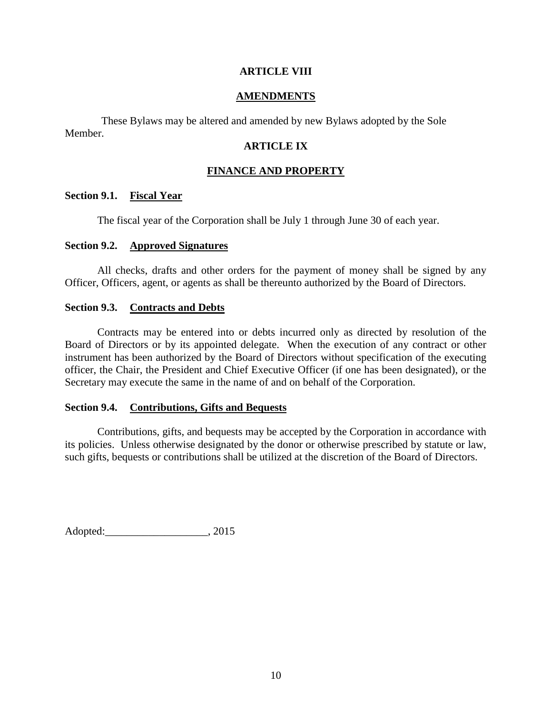# **ARTICLE VIII**

# **AMENDMENTS**

These Bylaws may be altered and amended by new Bylaws adopted by the Sole Member.

## **ARTICLE IX**

# **FINANCE AND PROPERTY**

## **Section 9.1. Fiscal Year**

The fiscal year of the Corporation shall be July 1 through June 30 of each year.

## **Section 9.2. Approved Signatures**

All checks, drafts and other orders for the payment of money shall be signed by any Officer, Officers, agent, or agents as shall be thereunto authorized by the Board of Directors.

## **Section 9.3. Contracts and Debts**

Contracts may be entered into or debts incurred only as directed by resolution of the Board of Directors or by its appointed delegate. When the execution of any contract or other instrument has been authorized by the Board of Directors without specification of the executing officer, the Chair, the President and Chief Executive Officer (if one has been designated), or the Secretary may execute the same in the name of and on behalf of the Corporation.

# **Section 9.4. Contributions, Gifts and Bequests**

Contributions, gifts, and bequests may be accepted by the Corporation in accordance with its policies. Unless otherwise designated by the donor or otherwise prescribed by statute or law, such gifts, bequests or contributions shall be utilized at the discretion of the Board of Directors.

Adopted:  $\qquad \qquad .2015$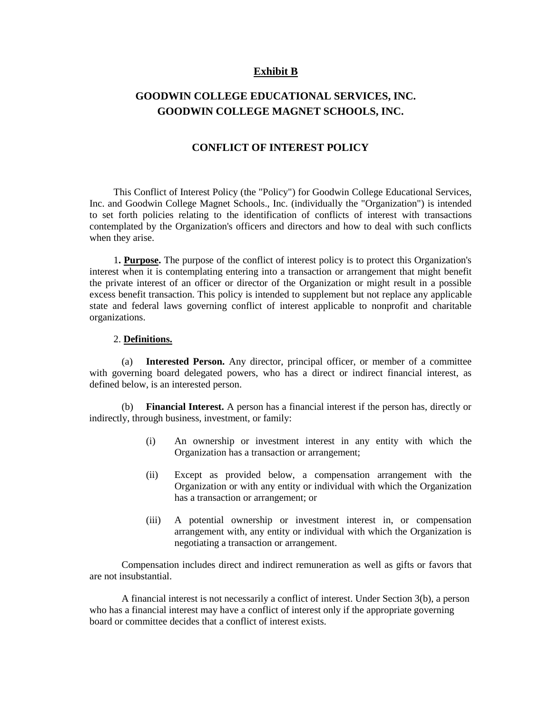## **Exhibit B**

# **GOODWIN COLLEGE EDUCATIONAL SERVICES, INC. GOODWIN COLLEGE MAGNET SCHOOLS, INC.**

#### **CONFLICT OF INTEREST POLICY**

This Conflict of Interest Policy (the "Policy") for Goodwin College Educational Services, Inc. and Goodwin College Magnet Schools., Inc. (individually the "Organization") is intended to set forth policies relating to the identification of conflicts of interest with transactions contemplated by the Organization's officers and directors and how to deal with such conflicts when they arise.

1**. Purpose.** The purpose of the conflict of interest policy is to protect this Organization's interest when it is contemplating entering into a transaction or arrangement that might benefit the private interest of an officer or director of the Organization or might result in a possible excess benefit transaction. This policy is intended to supplement but not replace any applicable state and federal laws governing conflict of interest applicable to nonprofit and charitable organizations.

#### 2. **Definitions.**

(a) **Interested Person.** Any director, principal officer, or member of a committee with governing board delegated powers, who has a direct or indirect financial interest, as defined below, is an interested person.

(b) **Financial Interest.** A person has a financial interest if the person has, directly or indirectly, through business, investment, or family:

- (i) An ownership or investment interest in any entity with which the Organization has a transaction or arrangement;
- (ii) Except as provided below, a compensation arrangement with the Organization or with any entity or individual with which the Organization has a transaction or arrangement; or
- (iii) A potential ownership or investment interest in, or compensation arrangement with, any entity or individual with which the Organization is negotiating a transaction or arrangement.

Compensation includes direct and indirect remuneration as well as gifts or favors that are not insubstantial.

A financial interest is not necessarily a conflict of interest. Under Section 3(b), a person who has a financial interest may have a conflict of interest only if the appropriate governing board or committee decides that a conflict of interest exists.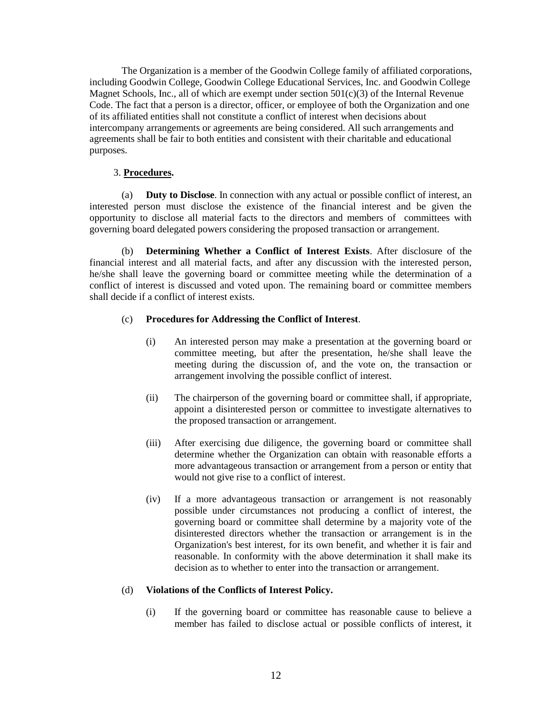The Organization is a member of the Goodwin College family of affiliated corporations, including Goodwin College, Goodwin College Educational Services, Inc. and Goodwin College Magnet Schools, Inc., all of which are exempt under section  $501(c)(3)$  of the Internal Revenue Code. The fact that a person is a director, officer, or employee of both the Organization and one of its affiliated entities shall not constitute a conflict of interest when decisions about intercompany arrangements or agreements are being considered. All such arrangements and agreements shall be fair to both entities and consistent with their charitable and educational purposes.

#### 3. **Procedures.**

(a) **Duty to Disclose**. In connection with any actual or possible conflict of interest, an interested person must disclose the existence of the financial interest and be given the opportunity to disclose all material facts to the directors and members of committees with governing board delegated powers considering the proposed transaction or arrangement.

(b) **Determining Whether a Conflict of Interest Exists**. After disclosure of the financial interest and all material facts, and after any discussion with the interested person, he/she shall leave the governing board or committee meeting while the determination of a conflict of interest is discussed and voted upon. The remaining board or committee members shall decide if a conflict of interest exists.

#### (c) **Procedures for Addressing the Conflict of Interest**.

- (i) An interested person may make a presentation at the governing board or committee meeting, but after the presentation, he/she shall leave the meeting during the discussion of, and the vote on, the transaction or arrangement involving the possible conflict of interest.
- (ii) The chairperson of the governing board or committee shall, if appropriate, appoint a disinterested person or committee to investigate alternatives to the proposed transaction or arrangement.
- (iii) After exercising due diligence, the governing board or committee shall determine whether the Organization can obtain with reasonable efforts a more advantageous transaction or arrangement from a person or entity that would not give rise to a conflict of interest.
- (iv) If a more advantageous transaction or arrangement is not reasonably possible under circumstances not producing a conflict of interest, the governing board or committee shall determine by a majority vote of the disinterested directors whether the transaction or arrangement is in the Organization's best interest, for its own benefit, and whether it is fair and reasonable. In conformity with the above determination it shall make its decision as to whether to enter into the transaction or arrangement.

#### (d) **Violations of the Conflicts of Interest Policy.**

(i) If the governing board or committee has reasonable cause to believe a member has failed to disclose actual or possible conflicts of interest, it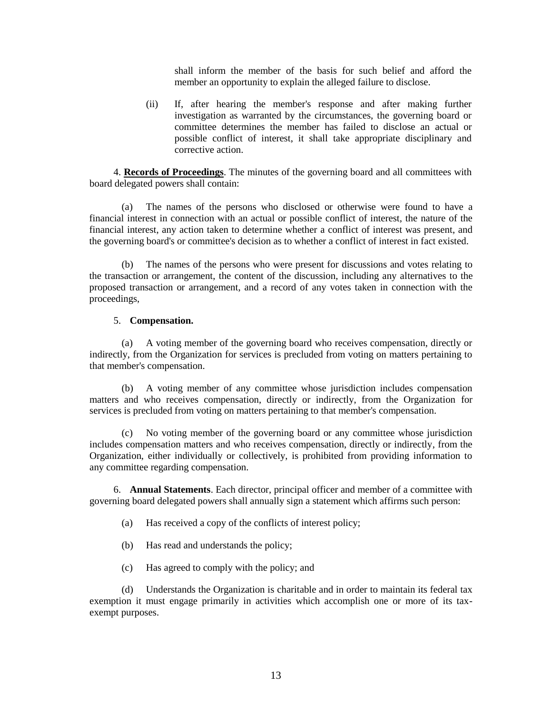shall inform the member of the basis for such belief and afford the member an opportunity to explain the alleged failure to disclose.

(ii) If, after hearing the member's response and after making further investigation as warranted by the circumstances, the governing board or committee determines the member has failed to disclose an actual or possible conflict of interest, it shall take appropriate disciplinary and corrective action.

4. **Records of Proceedings**. The minutes of the governing board and all committees with board delegated powers shall contain:

(a) The names of the persons who disclosed or otherwise were found to have a financial interest in connection with an actual or possible conflict of interest, the nature of the financial interest, any action taken to determine whether a conflict of interest was present, and the governing board's or committee's decision as to whether a conflict of interest in fact existed.

The names of the persons who were present for discussions and votes relating to the transaction or arrangement, the content of the discussion, including any alternatives to the proposed transaction or arrangement, and a record of any votes taken in connection with the proceedings,

#### 5. **Compensation.**

(a) A voting member of the governing board who receives compensation, directly or indirectly, from the Organization for services is precluded from voting on matters pertaining to that member's compensation.

(b) A voting member of any committee whose jurisdiction includes compensation matters and who receives compensation, directly or indirectly, from the Organization for services is precluded from voting on matters pertaining to that member's compensation.

(c) No voting member of the governing board or any committee whose jurisdiction includes compensation matters and who receives compensation, directly or indirectly, from the Organization, either individually or collectively, is prohibited from providing information to any committee regarding compensation.

6. **Annual Statements**. Each director, principal officer and member of a committee with governing board delegated powers shall annually sign a statement which affirms such person:

- (a) Has received a copy of the conflicts of interest policy;
- (b) Has read and understands the policy;
- (c) Has agreed to comply with the policy; and

(d) Understands the Organization is charitable and in order to maintain its federal tax exemption it must engage primarily in activities which accomplish one or more of its taxexempt purposes.